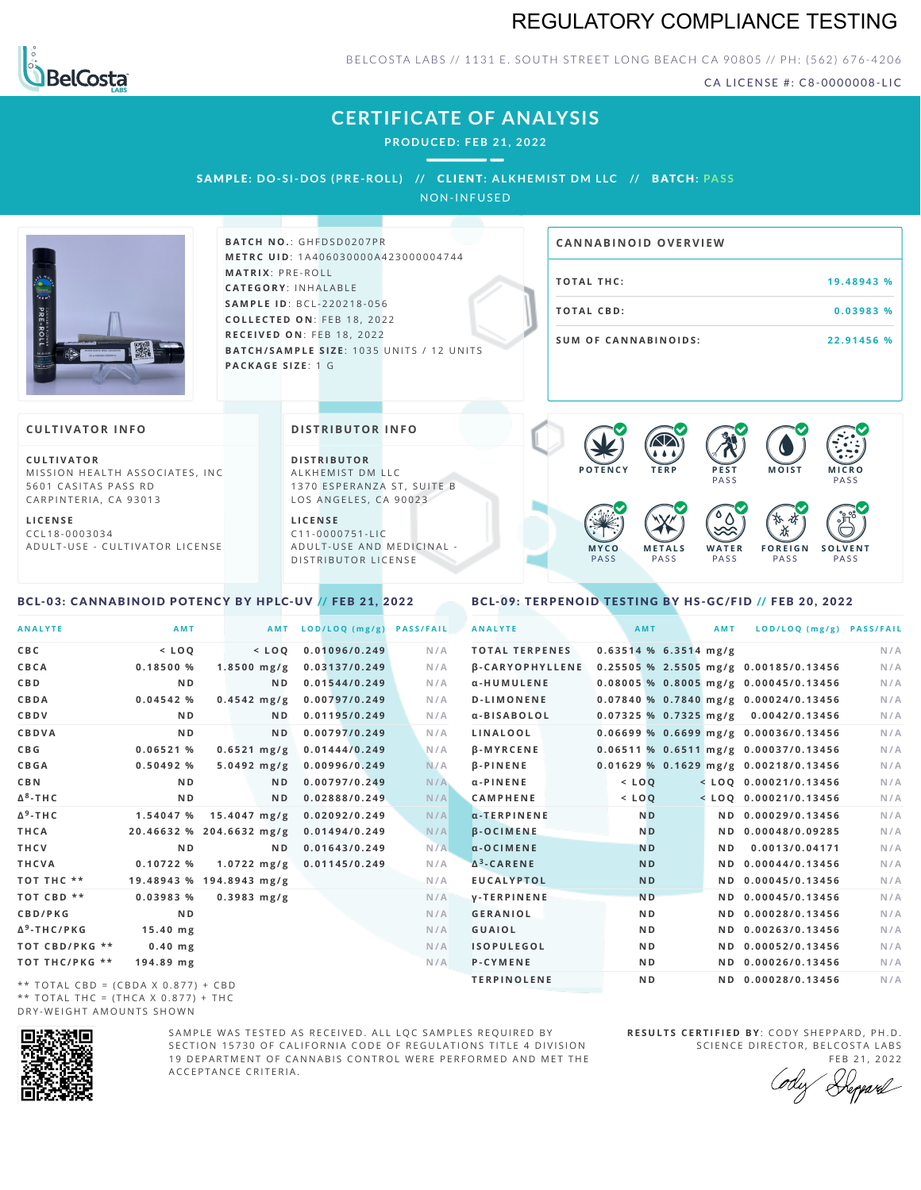# REGULATORY COMPLIANCE TESTING



BELCOSTA LABS // 1131 E. SOUTH STREET LONG BEACH CA 90805 // PH: (562) 676-4206

CA LICENSE #: C8-0000008-LIC

**M O IS T M IC R O**

**F O R E I G N** PA S S

祇

**PASS** 

**S O L V E N T** PA S S

# **CERTIFICATE OF ANALYSIS**

**PRODUCED: F EB 21, 2022**

SAMPLE: DO-SI-DOS (PRE-ROLL) // CLIENT: ALKHEMIST DM LLC // BATCH: PASS

NON-INFUSED



**BATCH NO.: GHFDSD0207PR M E T R C U ID** :1 A 4 0 6 0 3 0 0 0 0 A 4 2 3 0 0 0 0 0 4 7 4 4 **M AT R I X** :P R E - R O L L **CAT E G O R Y** : I N H A L A B L E **SA M P L E I D** :B C L - 2 2 0 2 1 8 - 0 5 6 **C O L L E C T E D O N** :F E B 1 8 , 2 0 2 2 **R E C E I V E D O N** : F E B 1 8 , 2 0 2 2 **BATCH/SAMPLE SIZE:** 1035 UNITS / 12 UNITS **PAC KA G E S I Z E** : 1 G

# **19.48943 % T O TAL CB D :0 . 0 3 9 8 3 % S U M O F CA N N ABI N O I D S : 2 2 . 9 1 4 5 6 % CA N N ABI N OID OVERVI EW**

PA S S

 $\bullet$  60 60 60 60

 $\bullet$  0.0 0.0 0.0

**W A T E R** PA S S

### **CULTIVATOR I N FO**

**C U L T I VAT O R** MISSION HEALTH ASSOCIATES, INC. 5601 CASITAS PASS RD CARPINTERIA, CA 93013

**L I C E N S E** C C L 1 8 - 0 0 0 3 0 3 4 A D U L T - U S E - C U L T I V A T O R L I C E N S E

### **DI STRIBUTOR I N FO**

**D I S T R IB U T O R** ALKHEMIST DM LLC 1370 ESPERANZA ST, SUITE B LOS ANGELES, CA 90023

**L I C E N S E** C 1 1 - 0 0 0 0 7 5 1 - L I C A D U L T - U S E A N D M E D I C I N A L -D ISTRIBUTOR LICENSE

#### <span id="page-0-0"></span>BCL-03: CANNABINOID POTENCY BY HPLC-UV // FEB 21, 2022

<span id="page-0-1"></span>BCL-09: TERPENOID TESTING BY HS-GC/FID // FEB 20, 2022

**M E T A L S** PA S S

**M Y C O** PA S S

**P O T E N C Y T E R P P E S T**

| <b>ANALYTE</b>                                | AMT            |                          | AMT            | LOD/LOQ (mg/g) | <b>PASS/FAIL</b> | <b>ANALYTE</b>         | AMT                     | AMT | LOD/LOQ (mg/g) PASS/FAIL                |     |
|-----------------------------------------------|----------------|--------------------------|----------------|----------------|------------------|------------------------|-------------------------|-----|-----------------------------------------|-----|
| C B C                                         | $<$ LOQ        | $<$ LOQ                  |                | 0.01096/0.249  | N/A              | <b>TOTAL TERPENES</b>  | $0.63514$ % 6.3514 mg/g |     |                                         | N/A |
| CBCA                                          | 0.18500%       | $1.8500$ mg/g            |                | 0.03137/0.249  | N/A              | <b>B-CARYOPHYLLENE</b> |                         |     | 0.25505 % 2.5505 mg/g 0.00185/0.13456   | N/A |
| C B D                                         | N <sub>D</sub> |                          | N <sub>D</sub> | 0.01544/0.249  | N/A              | α-HUMULENE             |                         |     | 0.08005 % 0.8005 mg/g 0.00045/0.13456   | N/A |
| CBDA                                          | 0.04542%       | $0.4542$ mg/g            |                | 0.00797/0.249  | N/A              | <b>D-LIMONENE</b>      |                         |     | $0.07840$ % 0.7840 mg/g 0.00024/0.13456 | N/A |
| CBDV                                          | N <sub>D</sub> |                          | N <sub>D</sub> | 0.01195/0.249  | N/A              | α-BISABOLOL            |                         |     | $0.07325$ % 0.7325 mg/g 0.0042/0.13456  | N/A |
| CBDVA                                         | N <sub>D</sub> |                          | N <sub>D</sub> | 0.00797/0.249  | N/A              | LINALOOL               |                         |     | $0.06699$ % 0.6699 mg/g 0.00036/0.13456 | N/A |
| C B G                                         | 0.06521%       | $0.6521$ mg/g            |                | 0.01444/0.249  | N/A              | <b>B-MYRCENE</b>       |                         |     | $0.06511$ % 0.6511 mg/g 0.00037/0.13456 | N/A |
| <b>CBGA</b>                                   | 0.50492%       | $5.0492$ mg/g            |                | 0.00996/0.249  | N/A              | <b>B-PINENE</b>        |                         |     | 0.01629 % 0.1629 mg/g 0.00218/0.13456   | N/A |
| C B N                                         | N <sub>D</sub> |                          | ND.            | 0.00797/0.249  | N/A              | $\alpha$ -PINENE       | $<$ LOO                 |     | $<$ LOQ 0.00021/0.13456                 | N/A |
| Δ <sup>8</sup> -ΤΗ C                          | N <sub>D</sub> |                          | N <sub>D</sub> | 0.02888/0.249  | N/A              | <b>CAMPHENE</b>        | $<$ $LOQ$               |     | $<$ LOQ 0.00021/0.13456                 | N/A |
| Δ <sup>9</sup> -ΤΗ C                          | 1.54047 %      | $15.4047 \text{ mg/g}$   |                | 0.02092/0.249  | N/A              | $\alpha$ -TERPINENE    | <b>ND</b>               |     | ND 0.00029/0.13456                      | N/A |
| THCA                                          |                | 20.46632 % 204.6632 mg/g |                | 0.01494/0.249  | N/A              | <b>B-OCIMENE</b>       | N <sub>D</sub>          |     | ND 0.00048/0.09285                      | N/A |
| THCV                                          | N <sub>D</sub> |                          | N <sub>D</sub> | 0.01643/0.249  | N/A              | $\alpha$ -OCIMENE      | <b>ND</b>               | ND. | 0.0013/0.04171                          | N/A |
| THCVA                                         | 0.10722%       | $1.0722$ mg/g            |                | 0.01145/0.249  | N/A              | $\Delta^3$ -CARENE     | <b>ND</b>               |     | ND 0.00044/0.13456                      | N/A |
| тот тнс **                                    |                | 19.48943 % 194.8943 mg/g |                |                | N/A              | <b>EUCALYPTOL</b>      | <b>ND</b>               |     | ND 0.00045/0.13456                      | N/A |
| TOT CBD **                                    | 0.03983%       | $0.3983$ mg/g            |                |                | N/A              | <b>V-TERPINENE</b>     | N <sub>D</sub>          |     | ND 0.00045/0.13456                      | N/A |
| <b>CBD/PKG</b>                                | N <sub>D</sub> |                          |                |                | N/A              | <b>GERANIOL</b>        | N <sub>D</sub>          |     | ND 0.00028/0.13456                      | N/A |
| Δ <sup>9</sup> -THC/PKG                       | $15.40$ mg     |                          |                |                | N/A              | <b>GUAIOL</b>          | N <sub>D</sub>          |     | ND 0.00263/0.13456                      | N/A |
| ТОТ СВD/РКG **                                | $0.40$ mg      |                          |                |                | N/A              | <b>ISOPULEGOL</b>      | N <sub>D</sub>          |     | ND 0.00052/0.13456                      | N/A |
| ТОТ ТНС/РКG **                                | 194.89 mg      |                          |                |                | N/A              | P-CYMENE               | N <sub>D</sub>          |     | ND 0.00026/0.13456                      | N/A |
| $\star\star$ TOTAL CRD = (CRDA V 0.077) + CRD |                |                          |                |                |                  | <b>TERPINOLENE</b>     | N <sub>D</sub>          |     | ND 0.00028/0.13456                      | N/A |

 $TOTAL$  CBD = (CBDA X 0.877) + CBD  $**$  TOTAL THC = (THCA X 0.877) + THC DRY-WEIGHT AMOUNTS SHOWN



SAMPLE WAS TESTED AS RECEIVED. ALL LOC SAMPLES REQUIRED BY SECTION 15730 OF CALIFORNIA CODE OF REGULATIONS TITLE 4 DIVISION 19 DEPARTMENT OF CANNABIS CONTROL WERE PERFORMED AND MET THE A C C E P T A N C E C R I T E R I A .

**R E S U L T S C E R T I F I E D BY** : C O D Y S H E P P A R D ,P H .D . SCIENCE DIRECTOR, BELCOSTA LABS

FEB 21, 2022<br>*Repard*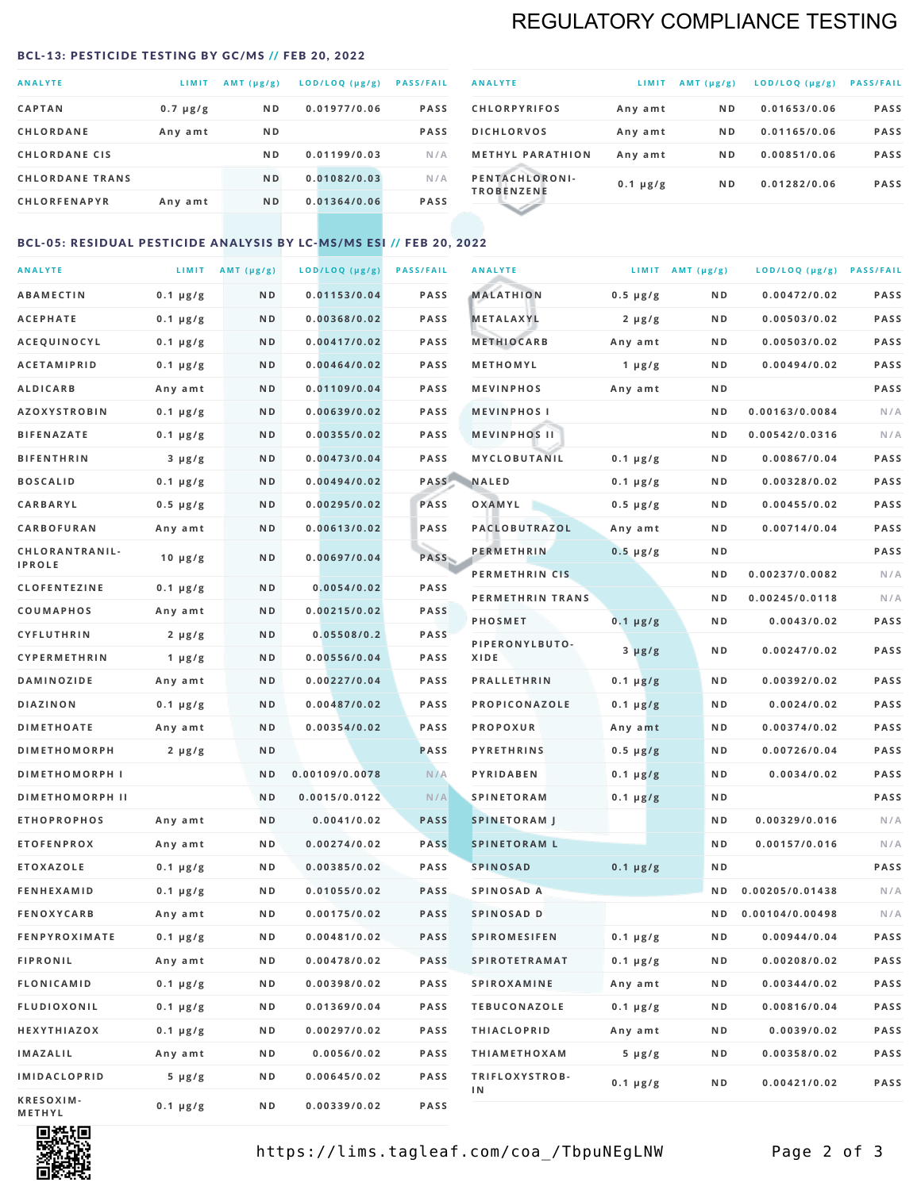# REGULATORY COMPLIANCE TESTING

#### <span id="page-1-0"></span>BCL-13: PESTICIDE TESTING BY GC/MS // FEB 20, 2022

| <b>ANALYTE</b>         | LIMIT         | $AMT$ ( $\mu g/g$ ) | LOD/LOQ (µg/g) | <b>PASS/FAIL</b> |
|------------------------|---------------|---------------------|----------------|------------------|
| <b>CAPTAN</b>          | $0.7 \mu g/g$ | N <sub>D</sub>      | 0.01977/0.06   | <b>PASS</b>      |
| <b>CHLORDANE</b>       | Any amt       | N <sub>D</sub>      |                | <b>PASS</b>      |
| <b>CHLORDANE CIS</b>   |               | N <sub>D</sub>      | 0.01199/0.03   | N/A              |
| <b>CHLORDANE TRANS</b> |               | N <sub>D</sub>      | 0.01082/0.03   | N/A              |
| <b>CHLORFENAPYR</b>    | Any amt       | N <sub>D</sub>      | 0.01364/0.06   | <b>PASS</b>      |

| <b>ANALYTE</b>                      | LIMIT         | $AMT (\mu g/g)$ | LOD/LOQ (µg/g) | <b>PASS/FAIL</b> |
|-------------------------------------|---------------|-----------------|----------------|------------------|
| <b>CHLORPYRIFOS</b>                 | Any amt       | N <sub>D</sub>  | 0.01653/0.06   | <b>PASS</b>      |
| <b>DICHLORVOS</b>                   | Any amt       | N <sub>D</sub>  | 0.01165/0.06   | <b>PASS</b>      |
| <b>METHYL PARATHION</b>             | Any amt       | N <sub>D</sub>  | 0.00851/0.06   | <b>PASS</b>      |
| PENTACHLORONI-<br><b>TROBENZENE</b> | $0.1 \mu g/g$ | N <sub>D</sub>  | 0.01282/0.06   | <b>PASS</b>      |
|                                     |               |                 |                |                  |

### BCL-05: RESIDUAL PESTICIDE ANALYSIS BY LC-MS/MS ESI // FEB 20, 2022

| <b>ANALYTE</b>         |                  | LIMIT $AMT (\mu g/g)$ | LOD/LOQ (µg/g) | <b>PASS/FAIL</b> | <b>ANALYTE</b>       |                  | LIMIT AMT $(\mu g/g)$ | LOD/LOQ (µg/g) PASS/FAIL |             |
|------------------------|------------------|-----------------------|----------------|------------------|----------------------|------------------|-----------------------|--------------------------|-------------|
| <b>ABAMECTIN</b>       | $0.1 \mu g/g$    | N D                   | 0.01153/0.04   | <b>PASS</b>      | <b>MALATHION</b>     | $0.5 \mu g/g$    | N D                   | 0.00472/0.02             | <b>PASS</b> |
| <b>ACEPHATE</b>        | $0.1 \mu g/g$    | N D                   | 0.00368/0.02   | <b>PASS</b>      | <b>METALAXYL</b>     | $2 \mu g/g$      | N D                   | 0.00503/0.02             | PASS        |
| ACEQUINOCYL            | $0.1 \mu g/g$    | N D                   | 0.00417/0.02   | <b>PASS</b>      | <b>METHIOCARB</b>    | Any amt          | N D                   | 0.00503/0.02             | PASS        |
| <b>ACETAMIPRID</b>     | $0.1 \mu g/g$    | N D                   | 0.00464/0.02   | PASS             | METHOMYL             | 1 $\mu$ g/g      | N D                   | 0.00494/0.02             | PASS        |
| <b>ALDICARB</b>        | Any amt          | ND                    | 0.01109/0.04   | <b>PASS</b>      | <b>MEVINPHOS</b>     | Any amt          | N D                   |                          | PASS        |
| <b>AZOXYSTROBIN</b>    | $0.1 \mu g/g$    | N D                   | 0.00639/0.02   | <b>PASS</b>      | <b>MEVINPHOSI</b>    |                  | N D                   | 0.00163/0.0084           | N/A         |
| <b>BIFENAZATE</b>      | $0.1 \mu g/g$    | N D                   | 0.00355/0.02   | <b>PASS</b>      | <b>MEVINPHOS II</b>  |                  | N D                   | 0.00542/0.0316           | N/A         |
| <b>BIFENTHRIN</b>      | $3 \mu g/g$      | ND                    | 0.00473/0.04   | <b>PASS</b>      | MYCLOBUTANIL         | $0.1 \mu g/g$    | N D                   | 0.00867/0.04             | PASS        |
| <b>BOSCALID</b>        | $0.1 \mu g/g$    | N D                   | 0.00494/0.02   |                  | PASS NALED           | 0.1 µg/g         | N D                   | 0.00328/0.02             | PASS        |
| CARBARYL               | $0.5 \, \mu g/g$ | N D                   | 0.00295/0.02   | PASS             | OXAMYL               | $0.5 \, \mu g/g$ | N D                   | 0.00455/0.02             | PASS        |
| CARBOFURAN             | Any amt          | N D                   | 0.00613/0.02   | PASS             | PACLOBUTRAZOL        | Any amt          | N D                   | 0.00714/0.04             | PASS        |
| CHLORANTRANIL-         | $10 \mu g/g$     | N D                   | 0.00697/0.04   | PASS             | <b>PERMETHRIN</b>    | $0.5 \mu g/g$    | N D                   |                          | PASS        |
| <b>IPROLE</b>          |                  |                       |                |                  | PERMETHRIN CIS       |                  | N D                   | 0.00237/0.0082           | N/A         |
| <b>CLOFENTEZINE</b>    | $0.1 \mu g/g$    | N D                   | 0.0054/0.02    | <b>PASS</b>      | PERMETHRIN TRANS     |                  | N D                   | 0.00245/0.0118           | N/A         |
| COUMAPHOS              | Any amt          | N D                   | 0.00215/0.02   | <b>PASS</b>      | <b>PHOSMET</b>       | $0.1 \mu g/g$    | N D                   | 0.0043/0.02              | PASS        |
| CYFLUTHRIN             | $2 \mu g/g$      | N D                   | 0.05508/0.2    | <b>PASS</b>      | PIPERONYLBUTO-       | $3 \mu g/g$      | N D                   | 0.00247/0.02             | PASS        |
| <b>CYPERMETHRIN</b>    | $1 \mu g/g$      | N D                   | 0.00556/0.04   | <b>PASS</b>      | XIDE                 |                  |                       |                          |             |
| <b>DAMINOZIDE</b>      | Any amt          | N D                   | 0.00227/0.04   | PASS             | <b>PRALLETHRIN</b>   | $0.1 \mu g/g$    | N D                   | 0.00392/0.02             | PASS        |
| <b>DIAZINON</b>        | $0.1 \mu g/g$    | N D                   | 0.00487/0.02   | <b>PASS</b>      | PROPICONAZOLE        | $0.1 \mu g/g$    | N D                   | 0.0024/0.02              | PASS        |
| <b>DIMETHOATE</b>      | Any amt          | N D                   | 0.00354/0.02   | <b>PASS</b>      | <b>PROPOXUR</b>      | Any amt          | N D                   | 0.00374/0.02             | PASS        |
| <b>DIMETHOMORPH</b>    | $2 \mu g/g$      | N D                   |                | <b>PASS</b>      | <b>PYRETHRINS</b>    | $0.5 \mu g/g$    | N D                   | 0.00726/0.04             | PASS        |
| <b>DIMETHOMORPH I</b>  |                  | N D                   | 0.00109/0.0078 | N/A              | <b>PYRIDABEN</b>     | $0.1 \mu g/g$    | N D                   | 0.0034/0.02              | PASS        |
| <b>DIMETHOMORPH II</b> |                  | ND                    | 0.0015/0.0122  | N/A              | <b>SPINETORAM</b>    | $0.1 \mu g/g$    | N D                   |                          | PASS        |
| <b>ETHOPROPHOS</b>     | Any amt          | N D                   | 0.0041/0.02    | <b>PASS</b>      | <b>SPINETORAM J</b>  |                  | N D                   | 0.00329/0.016            | N/A         |
| <b>ETOFENPROX</b>      | Any amt          | N D                   | 0.00274/0.02   | <b>PASS</b>      | <b>SPINETORAM L</b>  |                  | N D                   | 0.00157/0.016            | N/A         |
| <b>ETOXAZOLE</b>       | $0.1 \mu g/g$    | N D                   | 0.00385/0.02   | PASS             | <b>SPINOSAD</b>      | $0.1 \mu g/g$    | N D                   |                          | PASS        |
| <b>FENHEXAMID</b>      | $0.1 \mu g/g$    | N D                   | 0.01055/0.02   | <b>PASS</b>      | SPINOSAD A           |                  | N D                   | 0.00205/0.01438          | N/A         |
| <b>FENOXYCARB</b>      | Any amt          | ND.                   | 0.00175/0.02   | <b>PASS</b>      | SPINOSAD D           |                  | N D                   | 0.00104/0.00498          | N/A         |
| <b>FENPYROXIMATE</b>   | 0.1 µg/g         | N D                   | 0.00481/0.02   | <b>PASS</b>      | SPIROMESIFEN         | 0.1 µg/g         | N D                   | 0.00944/0.04             | PASS        |
| <b>FIPRONIL</b>        | Any amt          | N D                   | 0.00478/0.02   | PASS             | <b>SPIROTETRAMAT</b> | $0.1 \, \mu g/g$ | N D                   | 0.00208/0.02             | PASS        |
| FLONICAMID             | $0.1 \mu g/g$    | N D                   | 0.00398/0.02   | PASS             | SPIROXAMINE          | Any amt          | N D                   | 0.00344/0.02             | PASS        |
| <b>FLUDIOXONIL</b>     | $0.1 \mu g/g$    | N D                   | 0.01369/0.04   | PASS             | <b>TEBUCONAZOLE</b>  | $0.1 \mu g/g$    | N D                   | 0.00816/0.04             | PASS        |
| HEXYTHIAZOX            | $0.1 \mu g/g$    | N D                   | 0.00297/0.02   | PASS             | <b>THIACLOPRID</b>   | Any amt          | N D                   | 0.0039/0.02              | PASS        |
| <b>IMAZALIL</b>        | Any amt          | N D                   | 0.0056/0.02    | PASS             | <b>THIAMETHOXAM</b>  | $5 \mu g/g$      | N D                   | 0.00358/0.02             | PASS        |
| <b>IMIDACLOPRID</b>    | 5 µg/g           | N D                   | 0.00645/0.02   | <b>PASS</b>      | TRIFLOXYSTROB-<br>ΙN | $0.1 \mu g/g$    | N D                   | 0.00421/0.02             | PASS        |
| KRESOXIM-<br>METHYL    | $0.1 \mu g/g$    | N D                   | 0.00339/0.02   | PASS             |                      |                  |                       |                          |             |